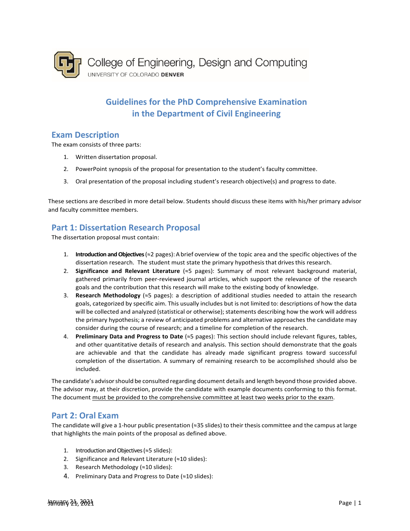

# **Guidelines for the PhD Comprehensive Examination in the Department of Civil Engineering**

#### **Exam Description**

The exam consists of three parts:

- 1. Written dissertation proposal.
- 2. PowerPoint synopsis of the proposal for presentation to the student's faculty committee.
- 3. Oral presentation of the proposal including student's research objective(s) and progress to date.

These sections are described in more detail below. Students should discuss these items with his/her primary advisor and faculty committee members.

## **Part 1: Dissertation Research Proposal**

The dissertation proposal must contain:

- 1. **Introduction and Objectives**(≈2 pages): A brief overview of the topic area and the specific objectives of the dissertation research. The student must state the primary hypothesis that drives this research.
- 2. **Significance and Relevant Literature** (≈5 pages): Summary of most relevant background material, gathered primarily from peer-reviewed journal articles, which support the relevance of the research goals and the contribution that this research will make to the existing body of knowledge.
- 3. **Research Methodology** (≈5 pages): a description of additional studies needed to attain the research goals, categorized by specific aim. This usually includes but is not limited to: descriptions of how the data will be collected and analyzed (statistical or otherwise); statements describing how the work will address the primary hypothesis; a review of anticipated problems and alternative approaches the candidate may consider during the course of research; and a timeline for completion of the research.
- 4. **Preliminary Data and Progress to Date** (≈5 pages): This section should include relevant figures, tables, and other quantitative details of research and analysis. This section should demonstrate that the goals are achievable and that the candidate has already made significant progress toward successful completion of the dissertation. A summary of remaining research to be accomplished should also be included.

The candidate's advisorshould be consulted regarding document details and length beyond those provided above. The advisor may, at their discretion, provide the candidate with example documents conforming to this format. The document must be provided to the comprehensive committee at least two weeks prior to the exam.

#### **Part 2: Oral Exam**

The candidate will give a 1-hour public presentation (≈35 slides) to their thesis committee and the campus at large that highlights the main points of the proposal as defined above.

- 1. Introduction and Objectives (≈5 slides):
- 2. Significance and Relevant Literature (≈10 slides):
- 3. Research Methodology (≈10 slides):
- 4. Preliminary Data and Progress to Date (≈10 slides):